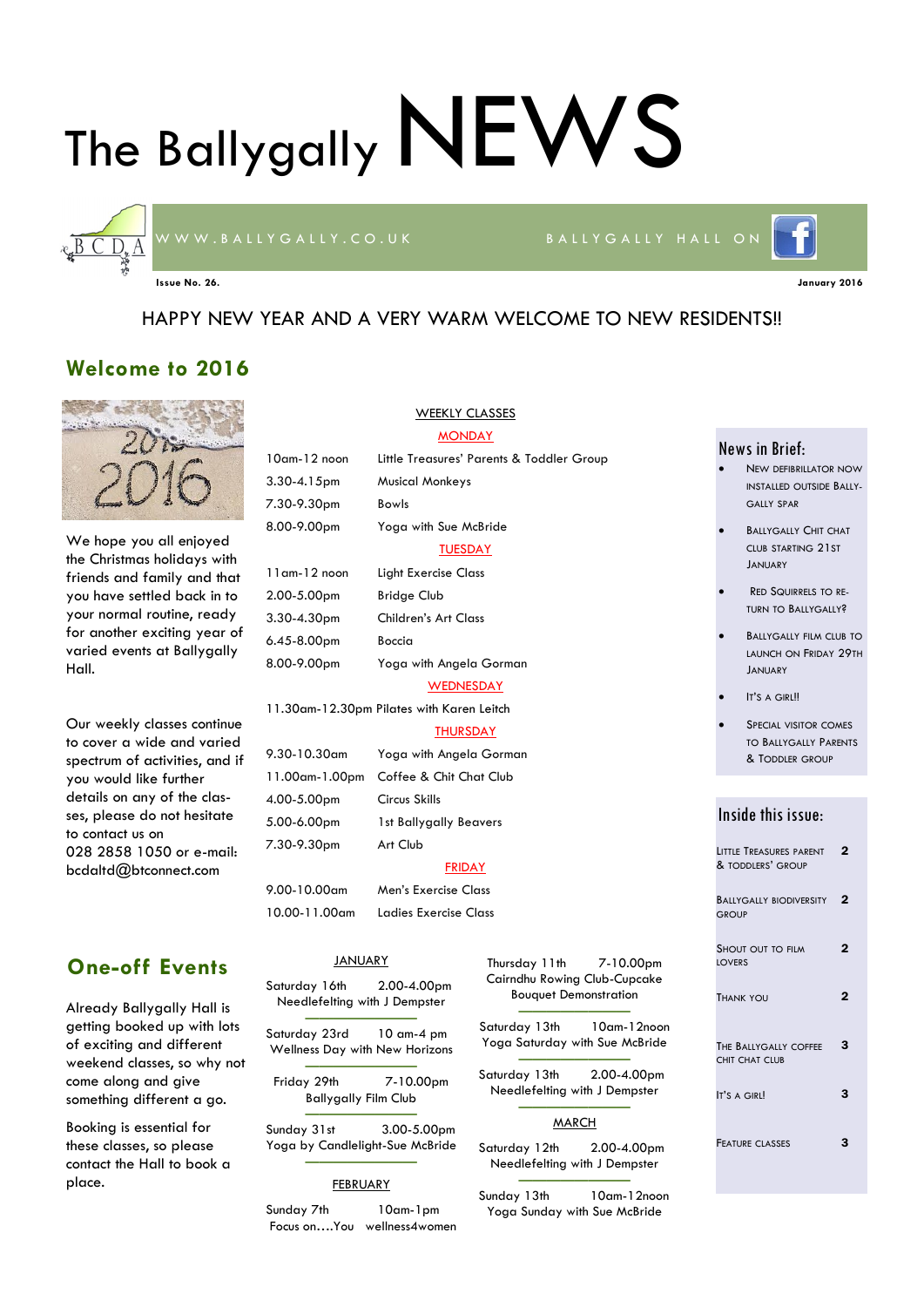# The Ballygally NEWS





## HAPPY NEW YEAR AND A VERY WARM WELCOME TO NEW RESIDENTS!!

## **Welcome to 2016**



We hope you all enjoyed the Christmas holidays with friends and family and that you have settled back in to your normal routine, ready for another exciting year of varied events at Ballygally Hall.

Our weekly classes continue to cover a wide and varied spectrum of activities, and if you would like further details on any of the classes, please do not hesitate to contact us on 028 2858 1050 or e-mail: bcdaltd@btconnect.com

## **One-off Events**

Already Ballygally Hall is getting booked up with lots of exciting and different weekend classes, so why not come along and give something different a go.

Booking is essential for these classes, so please contact the Hall to book a place.

## WEEKLY CLASSES

#### **MONDAY**

| $10$ am- $12$ noon | Little Treasures' Parents & Toddler Group |  |
|--------------------|-------------------------------------------|--|
| $3.30 - 4.15$ pm   | <b>Musical Monkeys</b>                    |  |
| 7.30-9.30pm        | Bowls                                     |  |
| 8.00-9.00pm        | Yoga with Sue McBride                     |  |
|                    | <b>TUESDAY</b>                            |  |
| $11$ am- $12$ noon | Light Exercise Class                      |  |
| $2.00 - 5.00$ pm   | Bridae Club                               |  |

| 2.00-5.00pm       | <b>Bridge Club</b>                        |
|-------------------|-------------------------------------------|
| 3.30-4.30pm       | Children's Art Class                      |
| $6.45 - 8.00$ pm  | Boccia                                    |
| 8.00-9.00pm       | Yoga with Angela Gorman                   |
|                   | <b>WEDNESDAY</b>                          |
|                   | 11.30am-12.30pm Pilates with Karen Leitch |
|                   | <b>THURSDAY</b>                           |
| $9.30 - 10.30$ am | Yoga with Angela Gorman                   |
| 11.00am-1.00pm    | Coffee & Chit Chat Club                   |
| 4.00-5.00pm       | Circus Skills                             |
| 5.00-6.00pm       | <b>1st Ballygally Beavers</b>             |
| 7.30-9.30pm       | Art Club                                  |
|                   | FRIDAY                                    |

9.00-10.00am Men's Exercise Class 10.00-11.00am Ladies Exercise Class

## **JANUARY**

Saturday 16th 2.00-4.00pm Needlefelting with J Dempster

———————— Saturday 23rd 10 am-4 pm Wellness Day with New Horizons ————————

Friday 29th 7-10.00pm Ballygally Film Club ————————

Sunday 31st 3.00-5.00pm Yoga by Candlelight-Sue McBride ————————

#### FEBRUARY

Sunday 7th 10am-1pm Focus on….You wellness4women

Thursday 11th 7-10.00pm Cairndhu Rowing Club-Cupcake Bouquet Demonstration ————————

Saturday 13th 10am-12noon Yoga Saturday with Sue McBride ————————

Saturday 13th 2.00-4.00pm Needlefelting with J Dempster ————————

#### MARCH

Saturday 12th 2.00-4.00pm Needlefelting with J Dempster ————————

Sunday 13th 10am-12noon Yoga Sunday with Sue McBride

## News in Brief:

- NEW DEFIBRILLATOR NOW INSTALLED OUTSIDE BALLY-GALLY SPAR
- BALLYGALLY CHIT CHAT CLUB STARTING 21ST **JANUARY**
- RED SOUIDDELS TO DE TURN TO BALLYGALLY?
- BALLYGALLY FILM CLUB TO LAUNCH ON FRIDAY 29TH JANUARY
- IT'S A GIRL!!
- SPECIAL VISITOR COMES TO BALLYGALLY PARENTS & TODDLER GROUP

## Inside this issue:

| LITTLE TREASURES PARENT<br>& TODDLERS' GROUP   | $\mathbf{2}$ |
|------------------------------------------------|--------------|
| <b>BALLYGALLY BIODIVERSITY</b><br><b>GROUP</b> | 2            |
| SHOUT OUT TO FILM<br><b>LOVERS</b>             | 2            |
| <b>THANK YOU</b>                               | $\mathbf 2$  |
| THE BALLYGALLY COFFEE<br>CHIT CHAT CLUB        | 3            |
| IT'S A GIRL!                                   | 3            |
| <b>FEATURE CLASSES</b>                         |              |

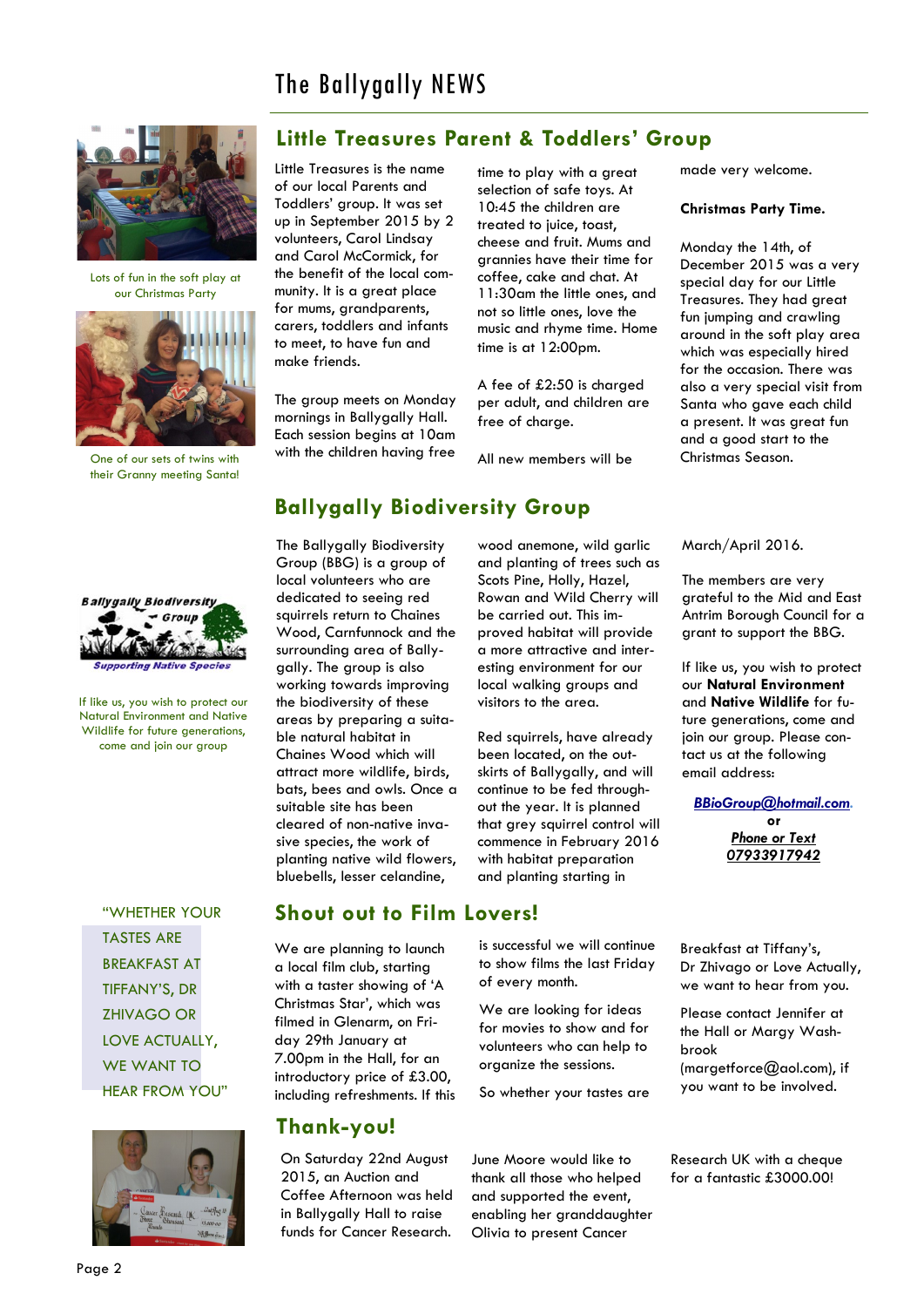

Lots of fun in the soft play at our Christmas Party



One of our sets of twins with their Granny meeting Santa!



**Little Treasures Parent & Toddlers' Group**

volunteers, Carol Lindsay and Carol McCormick, for the benefit of the local community. It is a great place for mums, grandparents, carers, toddlers and infants to meet, to have fun and make friends.

The group meets on Monday mornings in Ballygally Hall. Each session begins at 10am with the children having free time to play with a great selection of safe toys. At 10:45 the children are treated to juice, toast, cheese and fruit. Mums and grannies have their time for coffee, cake and chat. At 11:30am the little ones, and not so little ones, love the music and rhyme time. Home time is at 12:00pm.

A fee of £2:50 is charged per adult, and children are free of charge.

All new members will be

made very welcome.

#### **Christmas Party Time.**

Monday the 14th, of December 2015 was a very special day for our Little Treasures. They had great fun jumping and crawling around in the soft play area which was especially hired for the occasion. There was also a very special visit from Santa who gave each child a present. It was great fun and a good start to the Christmas Season.



If like us, you wish to protect our Natural Environment and Native Wildlife for future generations, come and join our group

> "WHETHER YOUR TASTES ARE BREAKFAST AT TIFFANY'S, DR ZHIVAGO OR LOVE ACTUALLY, WE WANT TO HEAR FROM YOU"



# **Ballygally Biodiversity Group**

The Ballygally Biodiversity Group (BBG) is a group of local volunteers who are dedicated to seeing red squirrels return to Chaines Wood, Carnfunnock and the surrounding area of Ballygally. The group is also working towards improving the biodiversity of these areas by preparing a suitable natural habitat in Chaines Wood which will attract more wildlife, birds, bats, bees and owls. Once a suitable site has been cleared of non-native invasive species, the work of planting native wild flowers, bluebells, lesser celandine,

We are planning to launch a local film club, starting with a taster showing of 'A Christmas Star', which was filmed in Glenarm, on Friday 29th January at 7.00pm in the Hall, for an introductory price of £3.00, including refreshments. If this

On Saturday 22nd August 2015, an Auction and Coffee Afternoon was held in Ballygally Hall to raise funds for Cancer Research.

**Thank-you!**

**Shout out to Film Lovers!**

wood anemone, wild garlic and planting of trees such as Scots Pine, Holly, Hazel, Rowan and Wild Cherry will be carried out. This improved habitat will provide a more attractive and interesting environment for our local walking groups and visitors to the area.

Red squirrels, have already been located, on the outskirts of Ballygally, and will continue to be fed throughout the year. It is planned that grey squirrel control will commence in February 2016 with habitat preparation and planting starting in

is successful we will continue to show films the last Friday of every month.

We are looking for ideas for movies to show and for volunteers who can help to organize the sessions.

So whether your tastes are

June Moore would like to thank all those who helped and supported the event, enabling her granddaughter Olivia to present Cancer

March/April 2016.

The members are very grateful to the Mid and East Antrim Borough Council for a grant to support the BBG.

If like us, you wish to protect our **Natural Environment** and **Native Wildlife** for future generations, come and join our group. Please contact us at the following email address:

*[BBioGroup@hotmail.com.](mailto:BBioGroup@hotmail.com)* **or** *Phone or Text 07933917942*

Breakfast at Tiffany's, Dr Zhivago or Love Actually, we want to hear from you.

Please contact Jennifer at the Hall or Margy Washbrook (margetforce@aol.com), if you want to be involved.

Research UK with a cheque for a fantastic £3000.00!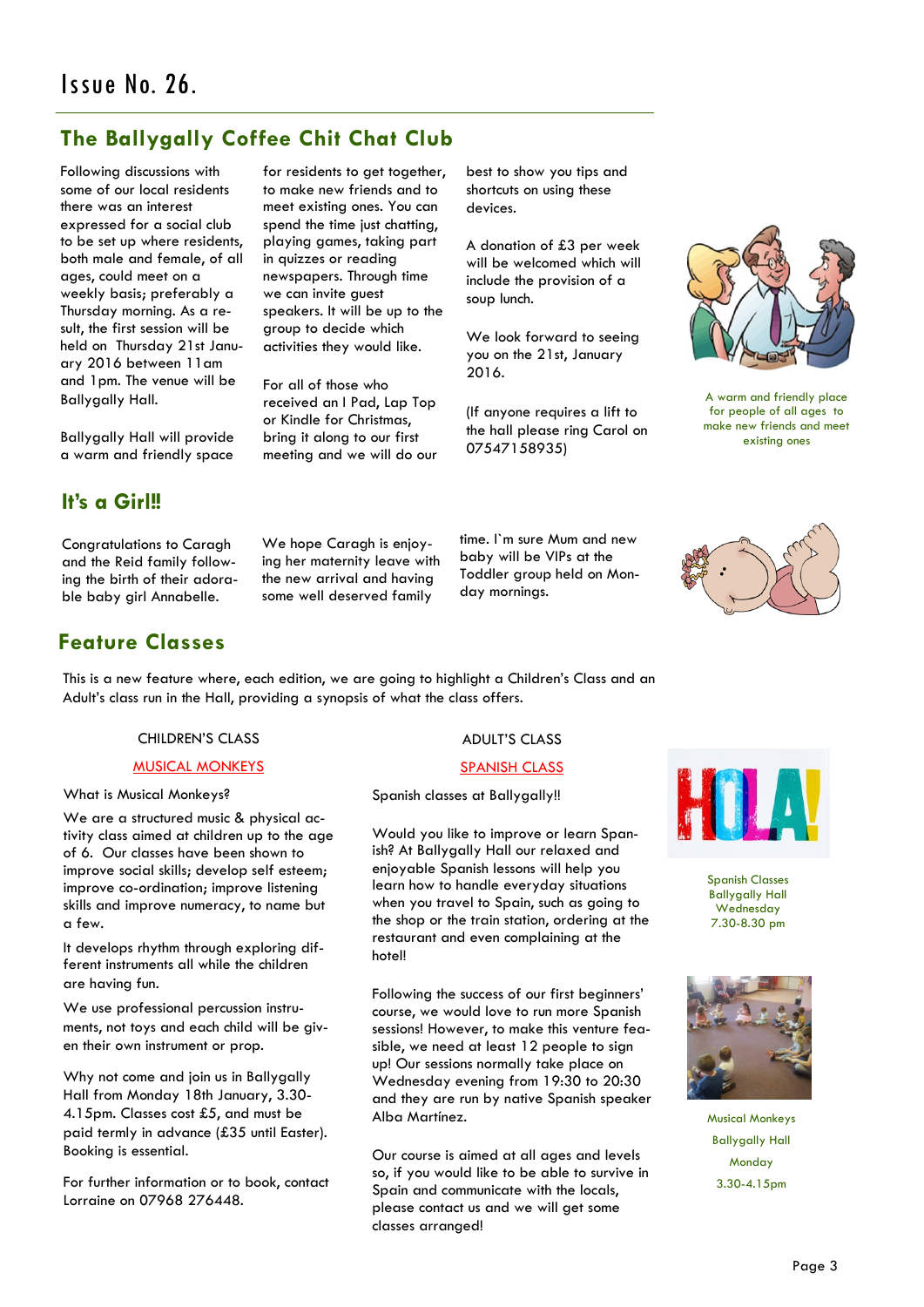## **The Ballygally Coffee Chit Chat Club**

Following discussions with some of our local residents there was an interest expressed for a social club to be set up where residents, both male and female, of all ages, could meet on a weekly basis; preferably a Thursday morning. As a result, the first session will be held on Thursday 21st January 2016 between 11am and 1pm. The venue will be Ballygally Hall.

Ballygally Hall will provide a warm and friendly space

**It's a Girl!!**

Congratulations to Caragh and the Reid family following the birth of their adorable baby girl Annabelle.

We hope Caragh is enjoying her maternity leave with the new arrival and having some well deserved family

for residents to get together, to make new friends and to meet existing ones. You can spend the time just chatting, playing games, taking part in quizzes or reading newspapers. Through time we can invite guest

speakers. It will be up to the group to decide which activities they would like.

For all of those who received an I Pad, Lap Top or Kindle for Christmas, bring it along to our first meeting and we will do our

> time. I`m sure Mum and new baby will be VIPs at the Toddler group held on Monday mornings.

best to show you tips and shortcuts on using these

A donation of £3 per week will be welcomed which will include the provision of a

We look forward to seeing you on the 21st, January

(If anyone requires a lift to the hall please ring Carol on

07547158935)

devices.

soup lunch.

2016.

## **Feature Classes**

This is a new feature where, each edition, we are going to highlight a Children's Class and an Adult's class run in the Hall, providing a synopsis of what the class offers.

## CHILDREN'S CLASS

### MUSICAL MONKEYS

What is Musical Monkeys?

We are a structured music & physical activity class aimed at children up to the age of 6. Our classes have been shown to improve social skills; develop self esteem; improve co-ordination; improve listening skills and improve numeracy, to name but a few.

It develops rhythm through exploring different instruments all while the children are having fun.

We use professional percussion instruments, not toys and each child will be given their own instrument or prop.

Why not come and join us in Ballygally Hall from Monday 18th January, 3.30- 4.15pm. Classes cost £5, and must be paid termly in advance (£35 until Easter). Booking is essential.

For further information or to book, contact Lorraine on 07968 276448.

## ADULT'S CLASS

#### SPANISH CLASS

Spanish classes at Ballygally!!

Would you like to improve or learn Spanish? At Ballygally Hall our relaxed and enjoyable Spanish lessons will help you learn how to handle everyday situations when you travel to Spain, such as going to the shop or the train station, ordering at the restaurant and even complaining at the hotel!

Following the success of our first beginners' course, we would love to run more Spanish sessions! However, to make this venture feasible, we need at least 12 people to sian up! Our sessions normally take place on Wednesday evening from 19:30 to 20:30 and they are run by native Spanish speaker Alba Martínez.

Our course is aimed at all ages and levels so, if you would like to be able to survive in Spain and communicate with the locals, please contact us and we will get some classes arranged!

A warm and friendly place for people of all ages to make new friends and meet





Spanish Classes Ballygally Hall Wednesday 7.30-8.30 pm



Musical Monkeys Ballygally Hall Monday 3.30-4.15pm